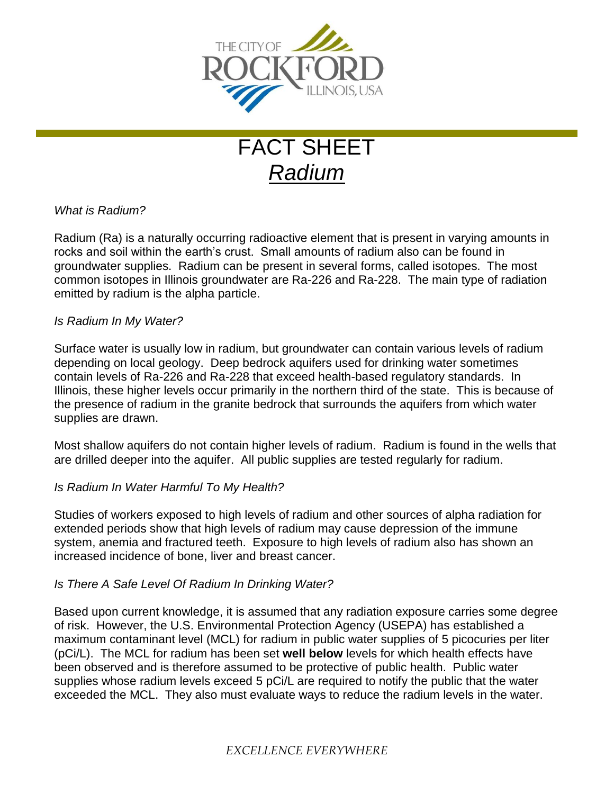

# FACT SHEET *Radium*

## *What is Radium?*

Radium (Ra) is a naturally occurring radioactive element that is present in varying amounts in rocks and soil within the earth's crust. Small amounts of radium also can be found in groundwater supplies. Radium can be present in several forms, called isotopes. The most common isotopes in Illinois groundwater are Ra-226 and Ra-228. The main type of radiation emitted by radium is the alpha particle.

### *Is Radium In My Water?*

Surface water is usually low in radium, but groundwater can contain various levels of radium depending on local geology. Deep bedrock aquifers used for drinking water sometimes contain levels of Ra-226 and Ra-228 that exceed health-based regulatory standards. In Illinois, these higher levels occur primarily in the northern third of the state. This is because of the presence of radium in the granite bedrock that surrounds the aquifers from which water supplies are drawn.

Most shallow aquifers do not contain higher levels of radium. Radium is found in the wells that are drilled deeper into the aquifer. All public supplies are tested regularly for radium.

### *Is Radium In Water Harmful To My Health?*

Studies of workers exposed to high levels of radium and other sources of alpha radiation for extended periods show that high levels of radium may cause depression of the immune system, anemia and fractured teeth. Exposure to high levels of radium also has shown an increased incidence of bone, liver and breast cancer.

### *Is There A Safe Level Of Radium In Drinking Water?*

Based upon current knowledge, it is assumed that any radiation exposure carries some degree of risk. However, the U.S. Environmental Protection Agency (USEPA) has established a maximum contaminant level (MCL) for radium in public water supplies of 5 picocuries per liter (pCi/L). The MCL for radium has been set **well below** levels for which health effects have been observed and is therefore assumed to be protective of public health. Public water supplies whose radium levels exceed 5 pCi/L are required to notify the public that the water exceeded the MCL. They also must evaluate ways to reduce the radium levels in the water.